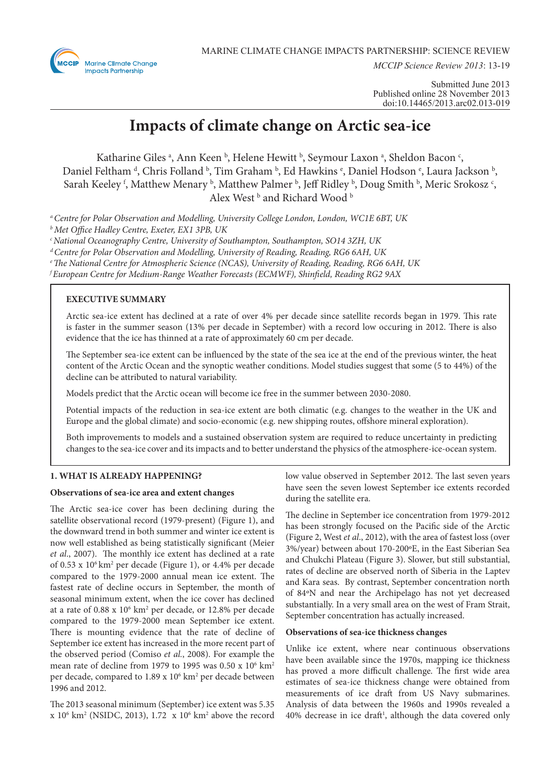

*MCCIP Science Review 2013*: 13-19

# **Impacts of climate change on Arctic sea-ice**

Katharine Giles<sup>a</sup>, Ann Keen<sup>b</sup>, Helene Hewitt<sup>b</sup>, Seymour Laxon<sup>a</sup>, Sheldon Bacon<sup>c</sup>, Daniel Feltham <sup>d</sup>, Chris Folland <sup>b</sup>, Tim Graham <sup>b</sup>, Ed Hawkins <sup>e</sup>, Daniel Hodson <sup>e</sup>, Laura Jackson <sup>b</sup>, Sarah Keeley <sup>f</sup>, Matthew Menary <sup>b</sup>, Matthew Palmer <sup>b</sup>, Jeff Ridley <sup>b</sup>, Doug Smith <sup>b</sup>, Meric Srokosz <sup>c</sup>, Alex West b and Richard Wood b

*a Centre for Polar Observation and Modelling, University College London, London, WC1E 6BT, UK*

*b Met Office Hadley Centre, Exeter, EX1 3PB, UK*

*c National Oceanography Centre, University of Southampton, Southampton, SO14 3ZH, UK*

*d Centre for Polar Observation and Modelling, University of Reading, Reading, RG6 6AH, UK*

*e The National Centre for Atmospheric Science (NCAS), University of Reading, Reading, RG6 6AH, UK*

*f European Centre for Medium-Range Weather Forecasts (ECMWF), Shinfield, Reading RG2 9AX*

## **EXECUTIVE SUMMARY**

Arctic sea-ice extent has declined at a rate of over 4% per decade since satellite records began in 1979. This rate is faster in the summer season (13% per decade in September) with a record low occuring in 2012. There is also evidence that the ice has thinned at a rate of approximately 60 cm per decade.

The September sea-ice extent can be influenced by the state of the sea ice at the end of the previous winter, the heat content of the Arctic Ocean and the synoptic weather conditions. Model studies suggest that some (5 to 44%) of the decline can be attributed to natural variability.

Models predict that the Arctic ocean will become ice free in the summer between 2030-2080.

Potential impacts of the reduction in sea-ice extent are both climatic (e.g. changes to the weather in the UK and Europe and the global climate) and socio-economic (e.g. new shipping routes, offshore mineral exploration).

Both improvements to models and a sustained observation system are required to reduce uncertainty in predicting changes to the sea-ice cover and its impacts and to better understand the physics of the atmosphere-ice-ocean system.

## **1. WHAT IS ALREADY HAPPENING?**

#### **Observations of sea-ice area and extent changes**

The Arctic sea-ice cover has been declining during the satellite observational record (1979-present) (Figure 1), and the downward trend in both summer and winter ice extent is now well established as being statistically significant (Meier *et al*., 2007). The monthly ice extent has declined at a rate of 0.53 x 106 km2 per decade (Figure 1), or 4.4% per decade compared to the 1979-2000 annual mean ice extent. The fastest rate of decline occurs in September, the month of seasonal minimum extent, when the ice cover has declined at a rate of 0.88 x 10<sup>6</sup> km<sup>2</sup> per decade, or 12.8% per decade compared to the 1979-2000 mean September ice extent. There is mounting evidence that the rate of decline of September ice extent has increased in the more recent part of the observed period (Comiso *et al.*, 2008). For example the mean rate of decline from 1979 to 1995 was  $0.50 \times 10^6$  km<sup>2</sup> per decade, compared to 1.89 x 10<sup>6</sup> km<sup>2</sup> per decade between 1996 and 2012.

The 2013 seasonal minimum (September) ice extent was 5.35 x 106 km2 (NSIDC, 2013), 1.72 x 106 km2 above the record low value observed in September 2012. The last seven years have seen the seven lowest September ice extents recorded during the satellite era.

The decline in September ice concentration from 1979-2012 has been strongly focused on the Pacific side of the Arctic (Figure 2, West *et al*., 2012), with the area of fastest loss (over 3%/year) between about 170-200ºE, in the East Siberian Sea and Chukchi Plateau (Figure 3). Slower, but still substantial, rates of decline are observed north of Siberia in the Laptev and Kara seas. By contrast, September concentration north of 84ºN and near the Archipelago has not yet decreased substantially. In a very small area on the west of Fram Strait, September concentration has actually increased.

#### **Observations of sea-ice thickness changes**

Unlike ice extent, where near continuous observations have been available since the 1970s, mapping ice thickness has proved a more difficult challenge. The first wide area estimates of sea-ice thickness change were obtained from measurements of ice draft from US Navy submarines. Analysis of data between the 1960s and 1990s revealed a 40% decrease in ice draft<sup>1</sup>, although the data covered only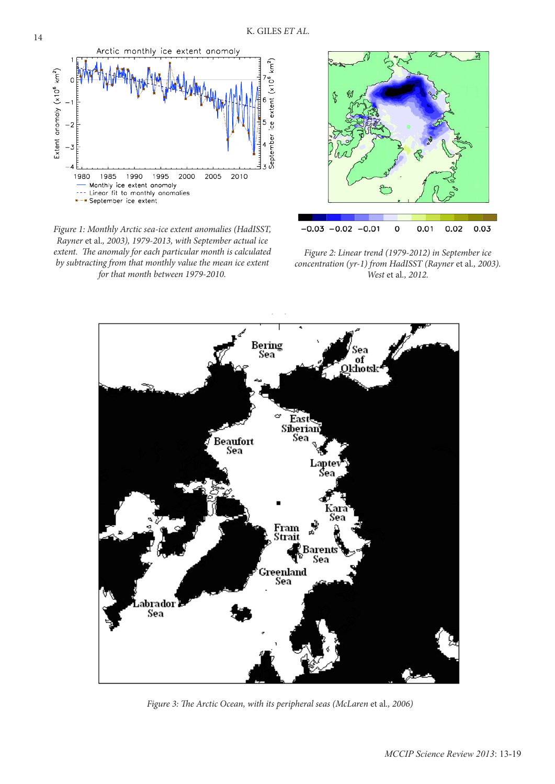

*Figure 1: Monthly Arctic sea-ice extent anomalies (HadISST, Rayner* et al.*, 2003), 1979-2013, with September actual ice extent. The anomaly for each particular month is calculated by subtracting from that monthly value the mean ice extent for that month between 1979-2010.*



*Figure 2: Linear trend (1979-2012) in September ice concentration (yr-1) from HadISST (Rayner* et al*., 2003). West* et al*., 2012.*



*Figure 3: The Arctic Ocean, with its peripheral seas (McLaren et al., 2006)*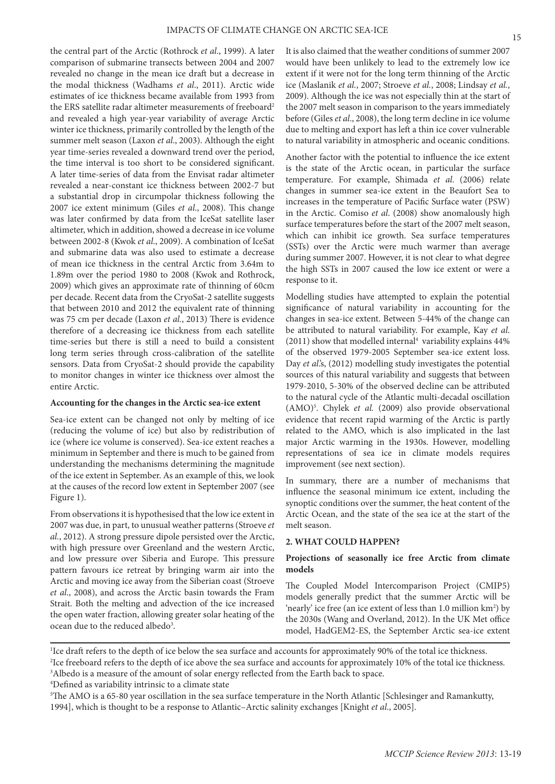the central part of the Arctic (Rothrock *et al*., 1999). A later comparison of submarine transects between 2004 and 2007 revealed no change in the mean ice draft but a decrease in the modal thickness (Wadhams *et al*., 2011). Arctic wide estimates of ice thickness became available from 1993 from the ERS satellite radar altimeter measurements of freeboard<sup>2</sup> and revealed a high year-year variability of average Arctic winter ice thickness, primarily controlled by the length of the summer melt season (Laxon *et al*., 2003). Although the eight year time-series revealed a downward trend over the period, the time interval is too short to be considered significant. A later time-series of data from the Envisat radar altimeter revealed a near-constant ice thickness between 2002-7 but a substantial drop in circumpolar thickness following the 2007 ice extent minimum (Giles *et al*., 2008). This change was later confirmed by data from the IceSat satellite laser altimeter, which in addition, showed a decrease in ice volume between 2002-8 (Kwok *et al*., 2009). A combination of IceSat and submarine data was also used to estimate a decrease of mean ice thickness in the central Arctic from 3.64m to 1.89m over the period 1980 to 2008 (Kwok and Rothrock, 2009) which gives an approximate rate of thinning of 60cm per decade. Recent data from the CryoSat-2 satellite suggests that between 2010 and 2012 the equivalent rate of thinning was 75 cm per decade (Laxon *et al.*, 2013) There is evidence therefore of a decreasing ice thickness from each satellite time-series but there is still a need to build a consistent long term series through cross-calibration of the satellite sensors. Data from CryoSat-2 should provide the capability to monitor changes in winter ice thickness over almost the entire Arctic.

## **Accounting for the changes in the Arctic sea-ice extent**

Sea-ice extent can be changed not only by melting of ice (reducing the volume of ice) but also by redistribution of ice (where ice volume is conserved). Sea-ice extent reaches a minimum in September and there is much to be gained from understanding the mechanisms determining the magnitude of the ice extent in September. As an example of this, we look at the causes of the record low extent in September 2007 (see Figure 1).

From observations it is hypothesised that the low ice extent in 2007 was due, in part, to unusual weather patterns (Stroeve *et al.*, 2012). A strong pressure dipole persisted over the Arctic, with high pressure over Greenland and the western Arctic, and low pressure over Siberia and Europe. This pressure pattern favours ice retreat by bringing warm air into the Arctic and moving ice away from the Siberian coast (Stroeve *et al*., 2008), and across the Arctic basin towards the Fram Strait. Both the melting and advection of the ice increased the open water fraction, allowing greater solar heating of the ocean due to the reduced albedo<sup>3</sup>.

It is also claimed that the weather conditions of summer 2007 would have been unlikely to lead to the extremely low ice extent if it were not for the long term thinning of the Arctic ice (Maslanik *et al.*, 2007; Stroeve *et al.*, 2008; Lindsay *et al.*, 2009). Although the ice was not especially thin at the start of the 2007 melt season in comparison to the years immediately before (Giles *et al*., 2008), the long term decline in ice volume due to melting and export has left a thin ice cover vulnerable to natural variability in atmospheric and oceanic conditions.

Another factor with the potential to influence the ice extent is the state of the Arctic ocean, in particular the surface temperature. For example, Shimada *et al*. (2006) relate changes in summer sea-ice extent in the Beaufort Sea to increases in the temperature of Pacific Surface water (PSW) in the Arctic. Comiso *et al*. (2008) show anomalously high surface temperatures before the start of the 2007 melt season, which can inhibit ice growth. Sea surface temperatures (SSTs) over the Arctic were much warmer than average during summer 2007. However, it is not clear to what degree the high SSTs in 2007 caused the low ice extent or were a response to it.

Modelling studies have attempted to explain the potential significance of natural variability in accounting for the changes in sea-ice extent. Between 5-44% of the change can be attributed to natural variability. For example, Kay *et al*.  $(2011)$  show that modelled internal<sup>4</sup> variability explains  $44\%$ of the observed 1979-2005 September sea-ice extent loss. Day *et al*'s, (2012) modelling study investigates the potential sources of this natural variability and suggests that between 1979-2010, 5-30% of the observed decline can be attributed to the natural cycle of the Atlantic multi-decadal oscillation (AMO)5 . Chylek *et al.* (2009) also provide observational evidence that recent rapid warming of the Arctic is partly related to the AMO, which is also implicated in the last major Arctic warming in the 1930s. However, modelling representations of sea ice in climate models requires improvement (see next section).

In summary, there are a number of mechanisms that influence the seasonal minimum ice extent, including the synoptic conditions over the summer, the heat content of the Arctic Ocean, and the state of the sea ice at the start of the melt season.

#### **2. WHAT COULD HAPPEN?**

## **Projections of seasonally ice free Arctic from climate models**

The Coupled Model Intercomparison Project (CMIP5) models generally predict that the summer Arctic will be 'nearly' ice free (an ice extent of less than 1.0 million km<sup>2</sup>) by the 2030s (Wang and Overland, 2012). In the UK Met office model, HadGEM2-ES, the September Arctic sea-ice extent

<sup>&</sup>lt;sup>1</sup>Ice draft refers to the depth of ice below the sea surface and accounts for approximately 90% of the total ice thickness. 2 Ice freeboard refers to the depth of ice above the sea surface and accounts for approximately 10% of the total ice thickness. <sup>3</sup>Albedo is a measure of the amount of solar energy reflected from the Earth back to space.

<sup>4</sup> Defined as variability intrinsic to a climate state

<sup>5</sup> The AMO is a 65-80 year oscillation in the sea surface temperature in the North Atlantic [Schlesinger and Ramankutty, 1994], which is thought to be a response to Atlantic–Arctic salinity exchanges [Knight *et al*., 2005].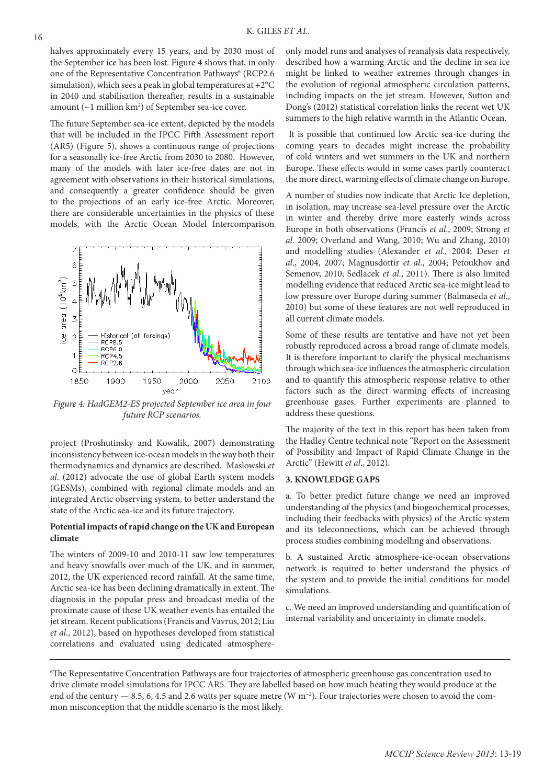halves approximately every 15 years, and by 2030 most of the September ice has been lost. Figure 4 shows that, in only one of the Representative Concentration Pathways<sup>6</sup> (RCP2.6 simulation), which sees a peak in global temperatures at  $+2^{\circ}C$ in 2040 and stabilisation thereafter, results in a sustainable amount  $(\sim 1$  million  $km^2$ ) of September sea-ice cover.

The future September sea-ice extent, depicted by the models that will be included in the IPCC Fifth Assessment report (AR5) (Figure 5), shows a continuous range of projections for a seasonally ice-free Arctic from 2030 to 2080. However, many of the models with later ice-free dates are not in agreement with observations in their historical simulations, and consequently a greater confidence should be given to the projections of an early ice-free Arctic. Moreover, there are considerable uncertainties in the physics of these models, with the Arctic Ocean Model Intercomparison



*Figure 4: HadGEM2-ES projected September ice area in four future RCP scenarios.*

project (Proshutinsky and Kowalik, 2007) demonstrating inconsistency between ice-ocean models in the way both their thermodynamics and dynamics are described. Maslowski *et al*. (2012) advocate the use of global Earth system models (GESMs), combined with regional climate models and an integrated Arctic observing system, to better understand the state of the Arctic sea-ice and its future trajectory.

## **Potential impacts of rapid change on the UK and European climate**

The winters of 2009-10 and 2010-11 saw low temperatures and heavy snowfalls over much of the UK, and in summer, 2012, the UK experienced record rainfall. At the same time, Arctic sea-ice has been declining dramatically in extent. The diagnosis in the popular press and broadcast media of the proximate cause of these UK weather events has entailed the jet stream. Recent publications (Francis and Vavrus, 2012; Liu *et al*., 2012), based on hypotheses developed from statistical correlations and evaluated using dedicated atmosphereonly model runs and analyses of reanalysis data respectively, described how a warming Arctic and the decline in sea ice might be linked to weather extremes through changes in the evolution of regional atmospheric circulation patterns, including impacts on the jet stream. However, Sutton and Dong's (2012) statistical correlation links the recent wet UK summers to the high relative warmth in the Atlantic Ocean.

 It is possible that continued low Arctic sea-ice during the coming years to decades might increase the probability of cold winters and wet summers in the UK and northern Europe. These effects would in some cases partly counteract the more direct, warming effects of climate change on Europe.

A number of studies now indicate that Arctic Ice depletion, in isolation, may increase sea-level pressure over the Arctic in winter and thereby drive more easterly winds across Europe in both observations (Francis *et al*., 2009; Strong *et al*. 2009; Overland and Wang, 2010; Wu and Zhang, 2010) and modelling studies (Alexander *et al.,* 2004; Deser *et al*., 2004, 2007; Magnusdottir *et al*., 2004; Petoukhov and Semenov, 2010; Sedlacek *et al*., 2011). There is also limited modelling evidence that reduced Arctic sea-ice might lead to low pressure over Europe during summer (Balmaseda *et al*., 2010) but some of these features are not well reproduced in all current climate models.

Some of these results are tentative and have not yet been robustly reproduced across a broad range of climate models. It is therefore important to clarify the physical mechanisms through which sea-ice influences the atmospheric circulation and to quantify this atmospheric response relative to other factors such as the direct warming effects of increasing greenhouse gases. Further experiments are planned to address these questions.

The majority of the text in this report has been taken from the Hadley Centre technical note "Report on the Assessment of Possibility and Impact of Rapid Climate Change in the Arctic" (Hewitt *et al*., 2012).

## **3. KNOWLEDGE GAPS**

a. To better predict future change we need an improved understanding of the physics (and biogeochemical processes, including their feedbacks with physics) of the Arctic system and its teleconnections, which can be achieved through process studies combining modelling and observations.

b. A sustained Arctic atmosphere-ice-ocean observations network is required to better understand the physics of the system and to provide the initial conditions for model simulations.

c. We need an improved understanding and quantification of internal variability and uncertainty in climate models.

<sup>6</sup> The Representative Concentration Pathways are four trajectories of atmospheric greenhouse gas concentration used to drive climate model simulations for IPCC AR5. They are labelled based on how much heating they would produce at the end of the century — 8.5, 6, 4.5 and 2.6 watts per square metre (W m−2). Four trajectories were chosen to avoid the common misconception that the middle scenario is the most likely.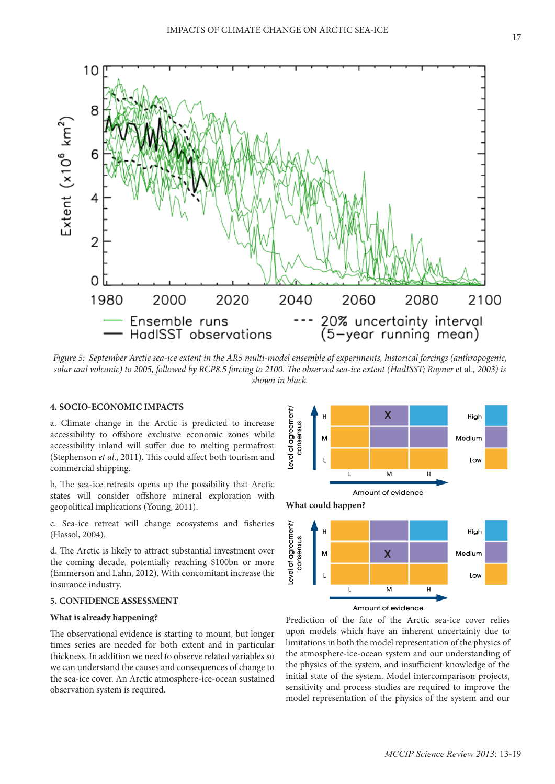

*Figure 5: September Arctic sea-ice extent in the AR5 multi-model ensemble of experiments, historical forcings (anthropogenic, solar and volcanic) to 2005, followed by RCP8.5 forcing to 2100. The observed sea-ice extent (HadISST; Rayner* et al.*, 2003) is shown in black.*

## **4. SOCIO-ECONOMIC IMPACTS**

a. Climate change in the Arctic is predicted to increase accessibility to offshore exclusive economic zones while accessibility inland will suffer due to melting permafrost (Stephenson *et al*., 2011). This could affect both tourism and commercial shipping.

b. The sea-ice retreats opens up the possibility that Arctic states will consider offshore mineral exploration with geopolitical implications (Young, 2011).

c. Sea-ice retreat will change ecosystems and fisheries (Hassol, 2004).

d. The Arctic is likely to attract substantial investment over the coming decade, potentially reaching \$100bn or more (Emmerson and Lahn, 2012). With concomitant increase the insurance industry.

## **5. CONFIDENCE ASSESSMENT**

## **What is already happening?**

The observational evidence is starting to mount, but longer times series are needed for both extent and in particular thickness. In addition we need to observe related variables so we can understand the causes and consequences of change to the sea-ice cover. An Arctic atmosphere-ice-ocean sustained observation system is required.



Prediction of the fate of the Arctic sea-ice cover relies upon models which have an inherent uncertainty due to limitations in both the model representation of the physics of the atmosphere-ice-ocean system and our understanding of the physics of the system, and insufficient knowledge of the initial state of the system. Model intercomparison projects, sensitivity and process studies are required to improve the model representation of the physics of the system and our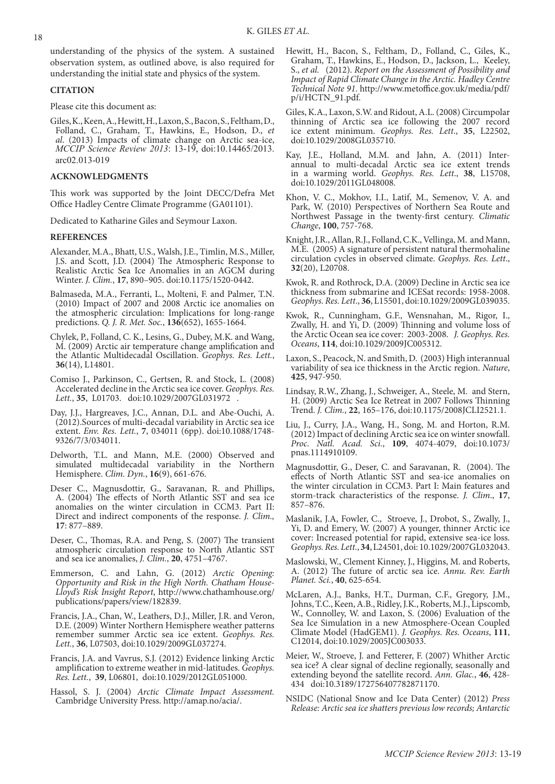understanding of the physics of the system. A sustained observation system, as outlined above, is also required for understanding the initial state and physics of the system.

#### **CITATION**

Please cite this document as:

Giles, K., Keen, A., Hewitt, H., Laxon, S., Bacon, S., Feltham, D., Folland, C., Graham, T., Hawkins, E., Hodson, D., *et al*. (2013) Impacts of climate change on Arctic sea-ice, *MCCIP Science Review 2013*: 13-19, doi:10.14465/2013. arc02.013-019

#### **ACKNOWLEDGMENTS**

This work was supported by the Joint DECC/Defra Met Office Hadley Centre Climate Programme (GA01101).

Dedicated to Katharine Giles and Seymour Laxon.

#### **REFERENCES**

- Alexander, M.A., Bhatt, U.S., Walsh, J.E., Timlin, M.S., Miller, J.S. and Scott, J.D. (2004) The Atmospheric Response to Realistic Arctic Sea Ice Anomalies in an AGCM during Winter. *J. Clim.*, **17**, 890–905. doi:10.1175/1520-0442.
- Balmaseda, M.A., Ferranti, L., Molteni, F. and Palmer, T.N. (2010) Impact of 2007 and 2008 Arctic ice anomalies on the atmospheric circulation: Implications for long‐range predictions. *Q. J. R. Met. Soc.*, **136**(652), 1655-1664.
- Chylek, P., Folland, C. K., Lesins, G., Dubey, M.K. and Wang, M. (2009) Arctic air temperature change amplification and the Atlantic Multidecadal Oscillation. *Geophys. Res. Lett.*, **36**(14), L14801.
- Comiso J., Parkinson, C., Gertsen, R. and Stock, L. (2008) Accelerated decline in the Arctic sea ice cover. *Geophys. Res. Lett.*, **35**, L01703. doi:10.1029/2007GL031972 .
- Day, J.J., Hargreaves, J.C., Annan, D.L. and Abe-Ouchi, A. (2012).Sources of multi-decadal variability in Arctic sea ice extent. *Env. Res. Lett.*, **7**, 034011 (6pp). doi:10.1088/1748- 9326/7/3/034011.
- Delworth, T.L. and Mann, M.E. (2000) Observed and simulated multidecadal variability in the Northern Hemisphere. *Clim. Dyn.*, **16**(9), 661-676.
- Deser C., Magnusdottir, G., Saravanan, R. and Phillips, A. (2004) The effects of North Atlantic SST and sea ice anomalies on the winter circulation in CCM3. Part II: Direct and indirect components of the response. *J. Clim.,* **17**: 877–889.
- Deser, C., Thomas, R.A. and Peng, S. (2007) The transient atmospheric circulation response to North Atlantic SST and sea ice anomalies, *J. Clim.*, **20**, 4751–4767.
- Emmerson, C. and Lahn, G. (2012) *Arctic Opening: Opportunity and Risk in the High North. Chatham House-Lloyd's Risk Insight Report*, http://www.chathamhouse.org/ publications/papers/view/182839.
- Francis, J.A., Chan, W., Leathers, D.J., Miller, J.R. and Veron, D.E. (2009) Winter Northern Hemisphere weather patterns remember summer Arctic sea ice extent. *Geophys. Res. Lett.*, **36**, L07503, doi:10.1029/2009GL037274.
- Francis, J.A. and Vavrus, S.J. (2012) Evidence linking Arctic amplification to extreme weather in mid-latitudes. *Geophys. Res. Lett.*, **39**, L06801, doi:10.1029/2012GL051000.
- Hassol, S. J. (2004) *Arctic Climate Impact Assessment.*  Cambridge University Press. http://amap.no/acia/.
- Hewitt, H., Bacon, S., Feltham, D., Folland, C., Giles, K., Graham, T., Hawkins, E., Hodson, D., Jackson, L., Keeley, S., *et al.* (2012). *Report on the Assessment of Possibility and Impact of Rapid Climate Change in the Arctic. Hadley Centre Technical Note 91*. http://www.metoffice.gov.uk/media/pdf/ p/i/HCTN\_91.pdf.
- Giles, K.A., Laxon, S.W. and Ridout, A.L. (2008) Circumpolar thinning of Arctic sea ice following the 2007 record ice extent minimum. *Geophys. Res. Lett*., **35**, L22502, doi:10.1029/2008GL035710.
- Kay, J.E., Holland, M.M. and Jahn, A. (2011) Interannual to multi-decadal Arctic sea ice extent trends in a warming world. *Geophys. Res. Lett*., **38**, L15708, doi:10.1029/2011GL048008.
- Khon, V. C., Mokhov, I.I., Latif, M., Semenov, V. A. and Park, W. (2010) Perspectives of Northern Sea Route and Northwest Passage in the twenty-first century. *Climatic Change*, **100**, 757-768.
- Knight, J.R., Allan, R.J., Folland, C.K., Vellinga, M. and Mann, M.E. (2005) A signature of persistent natural thermohaline circulation cycles in observed climate. *Geophys. Res. Lett*., **32**(20), L20708.
- Kwok, R. and Rothrock, D.A. (2009) Decline in Arctic sea ice thickness from submarine and ICESat records: 1958-2008. *Geophys. Res. Lett*., **36**, L15501, doi:10.1029/2009GL039035.
- Kwok, R., Cunningham, G.F., Wensnahan, M., Rigor, I., Zwally, H. and Yi, D. (2009) Thinning and volume loss of the Arctic Ocean sea ice cover: 2003-2008. *J. Geophys. Res. Oceans*, **114**, doi:10.1029/2009JC005312.
- Laxon, S., Peacock, N. and Smith, D. (2003) High interannual variability of sea ice thickness in the Arctic region. *Nature*, **425**, 947-950.
- Lindsay, R.W., Zhang, J., Schweiger, A., Steele, M. and Stern, H. (2009) Arctic Sea Ice Retreat in 2007 Follows Thinning Trend. *J. Clim.*, **22**, 165–176, doi:10.1175/2008JCLI2521.1.
- Liu, J., Curry, J.A., Wang, H., Song, M. and Horton, R.M. (2012) Impact of declining Arctic sea ice on winter snowfall. *Proc. Natl. Acad. Sci.*, **109**, 4074-4079, doi:10.1073/ pnas.1114910109.
- Magnusdottir, G., Deser, C. and Saravanan, R. (2004). The effects of North Atlantic SST and sea-ice anomalies on the winter circulation in CCM3. Part I: Main features and storm-track characteristics of the response. *J. Clim*., **17**, 857–876.
- Maslanik, J.A, Fowler, C., Stroeve, J., Drobot, S., Zwally, J., Yi, D. and Emery, W. (2007) A younger, thinner Arctic ice cover: Increased potential for rapid, extensive sea-ice loss. *Geophys. Res. Lett*., **34**, L24501, doi: 10.1029/2007GL032043.
- Maslowski, W., Clement Kinney, J., Higgins, M. and Roberts, A. (2012) The future of arctic sea ice. *Annu. Rev. Earth Planet. Sci.*, **40**, 625-654.
- McLaren, A.J., Banks, H.T., Durman, C.F., Gregory, J.M., Johns, T.C., Keen, A.B., Ridley, J.K., Roberts, M.J., Lipscomb, W., Connolley, W. and Laxon, S. (2006) Evaluation of the Sea Ice Simulation in a new Atmosphere-Ocean Coupled Climate Model (HadGEM1). *J. Geophys. Res. Oceans*, **111**, C12014, doi:10.1029/2005JC003033.
- Meier, W., Stroeve, J. and Fetterer, F. (2007) Whither Arctic sea ice? A clear signal of decline regionally, seasonally and extending beyond the satellite record. *Ann. Glac.*, **46**, 428- 434 doi:10.3189/172756407782871170.
- NSIDC (National Snow and Ice Data Center) (2012) *Press Release: Arctic sea ice shatters previous low records; Antarctic*